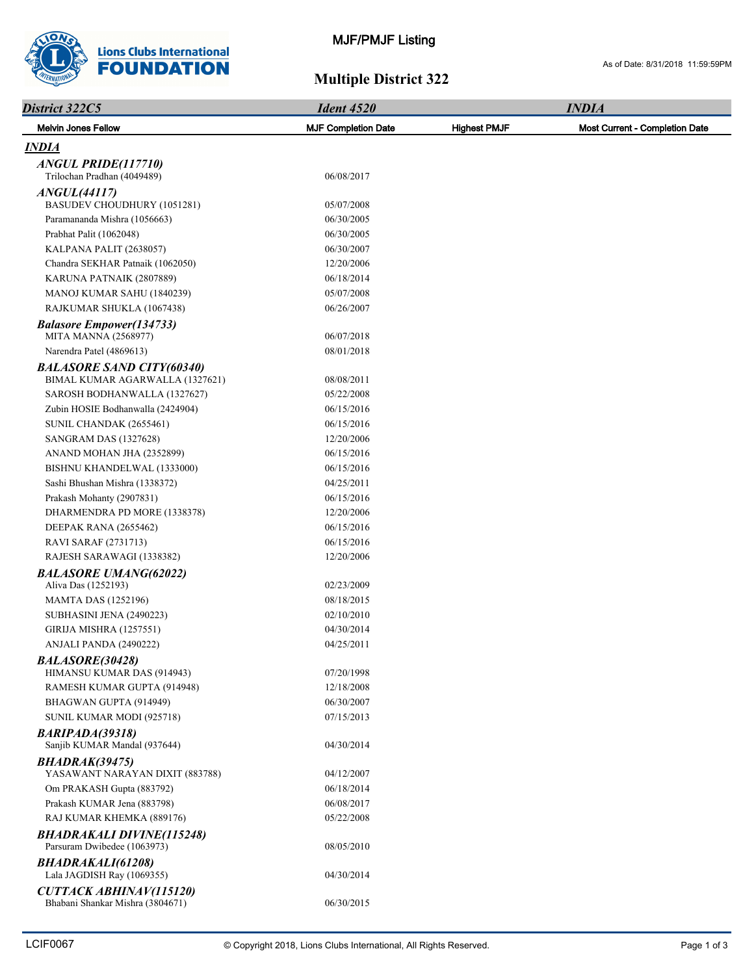

## **Multiple District 322**

| District 322C5                                                     | <b>Ident 4520</b>          |                     | <b>INDIA</b>                   |
|--------------------------------------------------------------------|----------------------------|---------------------|--------------------------------|
| <b>Melvin Jones Fellow</b>                                         | <b>MJF Completion Date</b> | <b>Highest PMJF</b> | Most Current - Completion Date |
| <b>INDIA</b>                                                       |                            |                     |                                |
| ANGUL PRIDE(117710)                                                |                            |                     |                                |
| Trilochan Pradhan (4049489)                                        | 06/08/2017                 |                     |                                |
| <i>ANGUL</i> (44117)                                               |                            |                     |                                |
| BASUDEV CHOUDHURY (1051281)                                        | 05/07/2008                 |                     |                                |
| Paramananda Mishra (1056663)                                       | 06/30/2005                 |                     |                                |
| Prabhat Palit (1062048)                                            | 06/30/2005                 |                     |                                |
| KALPANA PALIT (2638057)                                            | 06/30/2007                 |                     |                                |
| Chandra SEKHAR Patnaik (1062050)                                   | 12/20/2006                 |                     |                                |
| KARUNA PATNAIK (2807889)                                           | 06/18/2014                 |                     |                                |
| MANOJ KUMAR SAHU (1840239)                                         | 05/07/2008                 |                     |                                |
| RAJKUMAR SHUKLA (1067438)                                          | 06/26/2007                 |                     |                                |
| <b>Balasore Empower(134733)</b><br><b>MITA MANNA (2568977)</b>     | 06/07/2018                 |                     |                                |
| Narendra Patel (4869613)                                           | 08/01/2018                 |                     |                                |
| <b>BALASORE SAND CITY(60340)</b>                                   |                            |                     |                                |
| BIMAL KUMAR AGARWALLA (1327621)                                    | 08/08/2011                 |                     |                                |
| SAROSH BODHANWALLA (1327627)                                       | 05/22/2008                 |                     |                                |
| Zubin HOSIE Bodhanwalla (2424904)                                  | 06/15/2016                 |                     |                                |
| SUNIL CHANDAK (2655461)                                            | 06/15/2016                 |                     |                                |
| <b>SANGRAM DAS (1327628)</b>                                       | 12/20/2006                 |                     |                                |
| ANAND MOHAN JHA (2352899)                                          | 06/15/2016                 |                     |                                |
| BISHNU KHANDELWAL (1333000)                                        | 06/15/2016                 |                     |                                |
| Sashi Bhushan Mishra (1338372)                                     | 04/25/2011                 |                     |                                |
| Prakash Mohanty (2907831)                                          | 06/15/2016                 |                     |                                |
| DHARMENDRA PD MORE (1338378)                                       | 12/20/2006                 |                     |                                |
| DEEPAK RANA (2655462)                                              | 06/15/2016                 |                     |                                |
| <b>RAVI SARAF (2731713)</b>                                        | 06/15/2016                 |                     |                                |
| RAJESH SARAWAGI (1338382)                                          | 12/20/2006                 |                     |                                |
| <b>BALASORE UMANG(62022)</b>                                       |                            |                     |                                |
| Aliva Das (1252193)                                                | 02/23/2009                 |                     |                                |
| <b>MAMTA DAS (1252196)</b>                                         | 08/18/2015                 |                     |                                |
| SUBHASINI JENA (2490223)                                           | 02/10/2010                 |                     |                                |
| <b>GIRIJA MISHRA (1257551)</b>                                     | 04/30/2014                 |                     |                                |
| ANJALI PANDA (2490222)                                             | 04/25/2011                 |                     |                                |
| <b>BALASORE(30428)</b>                                             |                            |                     |                                |
| HIMANSU KUMAR DAS (914943)                                         | 07/20/1998                 |                     |                                |
| RAMESH KUMAR GUPTA (914948)                                        | 12/18/2008                 |                     |                                |
| BHAGWAN GUPTA (914949)                                             | 06/30/2007                 |                     |                                |
| SUNIL KUMAR MODI (925718)                                          | 07/15/2013                 |                     |                                |
| <b>BARIPADA(39318)</b><br>Sanjib KUMAR Mandal (937644)             | 04/30/2014                 |                     |                                |
| BHADRAK(39475)                                                     |                            |                     |                                |
| YASAWANT NARAYAN DIXIT (883788)                                    | 04/12/2007                 |                     |                                |
| Om PRAKASH Gupta (883792)                                          | 06/18/2014                 |                     |                                |
| Prakash KUMAR Jena (883798)                                        | 06/08/2017                 |                     |                                |
| RAJ KUMAR KHEMKA (889176)                                          | 05/22/2008                 |                     |                                |
| <b>BHADRAKALI DIVINE(115248)</b><br>Parsuram Dwibedee (1063973)    | 08/05/2010                 |                     |                                |
| <b>BHADRAKALI(61208)</b><br>Lala JAGDISH Ray (1069355)             | 04/30/2014                 |                     |                                |
| <b>CUTTACK ABHINAV(115120)</b><br>Bhabani Shankar Mishra (3804671) | 06/30/2015                 |                     |                                |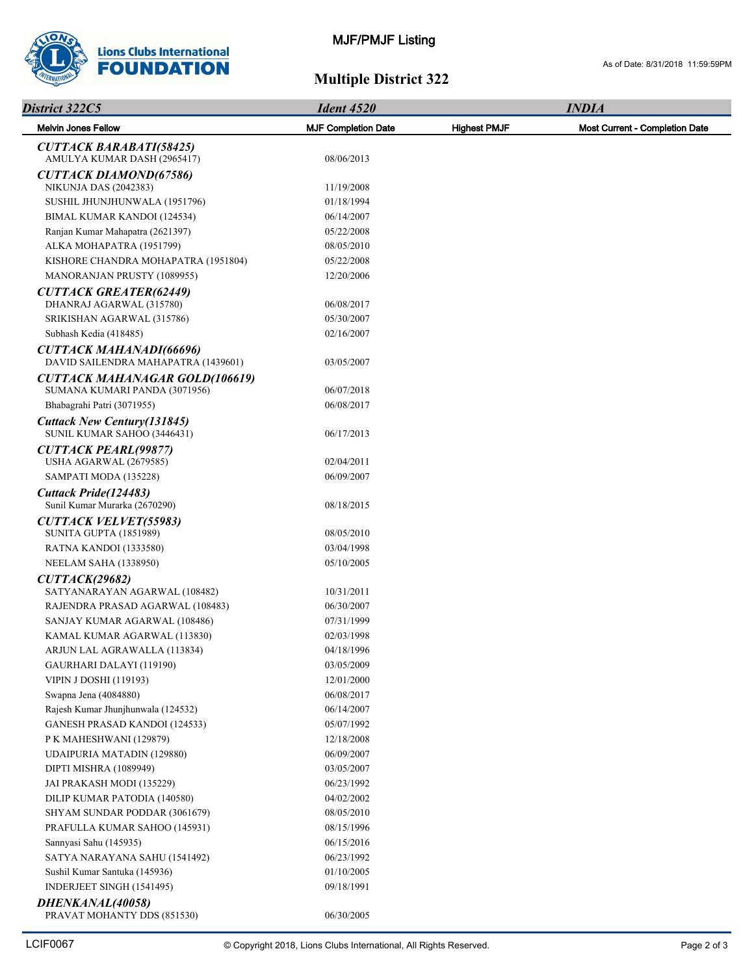

## **Multiple District 322**

| District 322C5                                                        | <b>Ident 4520</b>          | <b>INDIA</b>        |                                |  |
|-----------------------------------------------------------------------|----------------------------|---------------------|--------------------------------|--|
| <b>Melvin Jones Fellow</b>                                            | <b>MJF Completion Date</b> | <b>Highest PMJF</b> | Most Current - Completion Date |  |
| <b>CUTTACK BARABATI(58425)</b><br>AMULYA KUMAR DASH (2965417)         | 08/06/2013                 |                     |                                |  |
| <b>CUTTACK DIAMOND(67586)</b>                                         |                            |                     |                                |  |
| <b>NIKUNJA DAS (2042383)</b>                                          | 11/19/2008                 |                     |                                |  |
| SUSHIL JHUNJHUNWALA (1951796)                                         | 01/18/1994                 |                     |                                |  |
| BIMAL KUMAR KANDOI (124534)                                           | 06/14/2007                 |                     |                                |  |
| Ranjan Kumar Mahapatra (2621397)                                      | 05/22/2008                 |                     |                                |  |
| ALKA MOHAPATRA (1951799)                                              | 08/05/2010                 |                     |                                |  |
| KISHORE CHANDRA MOHAPATRA (1951804)                                   | 05/22/2008                 |                     |                                |  |
| MANORANJAN PRUSTY (1089955)                                           | 12/20/2006                 |                     |                                |  |
| <b>CUTTACK GREATER(62449)</b>                                         |                            |                     |                                |  |
| DHANRAJ AGARWAL (315780)                                              | 06/08/2017                 |                     |                                |  |
| SRIKISHAN AGARWAL (315786)                                            | 05/30/2007                 |                     |                                |  |
| Subhash Kedia (418485)                                                | 02/16/2007                 |                     |                                |  |
| <b>CUTTACK MAHANADI(66696)</b><br>DAVID SAILENDRA MAHAPATRA (1439601) | 03/05/2007                 |                     |                                |  |
| <b>CUTTACK MAHANAGAR GOLD(106619)</b>                                 |                            |                     |                                |  |
| SUMANA KUMARI PANDA (3071956)                                         | 06/07/2018                 |                     |                                |  |
| Bhabagrahi Patri (3071955)                                            | 06/08/2017                 |                     |                                |  |
| Cuttack New Century (131845)<br>SUNIL KUMAR SAHOO (3446431)           | 06/17/2013                 |                     |                                |  |
| <b>CUTTACK PEARL(99877)</b>                                           |                            |                     |                                |  |
| USHA AGARWAL (2679585)                                                | 02/04/2011                 |                     |                                |  |
| SAMPATI MODA (135228)                                                 | 06/09/2007                 |                     |                                |  |
| Cuttack Pride(124483)<br>Sunil Kumar Murarka (2670290)                | 08/18/2015                 |                     |                                |  |
| <b>CUTTACK VELVET(55983)</b><br>SUNITA GUPTA (1851989)                | 08/05/2010                 |                     |                                |  |
| RATNA KANDOI (1333580)                                                | 03/04/1998                 |                     |                                |  |
| NEELAM SAHA (1338950)                                                 | 05/10/2005                 |                     |                                |  |
| CUTTACK(29682)                                                        |                            |                     |                                |  |
| SATYANARAYAN AGARWAL (108482)                                         | 10/31/2011                 |                     |                                |  |
| RAJENDRA PRASAD AGARWAL (108483)                                      | 06/30/2007                 |                     |                                |  |
| SANJAY KUMAR AGARWAL (108486)                                         | 07/31/1999                 |                     |                                |  |
| KAMAL KUMAR AGARWAL (113830)                                          | 02/03/1998                 |                     |                                |  |
| ARJUN LAL AGRAWALLA (113834)                                          | 04/18/1996                 |                     |                                |  |
| GAURHARI DALAYI (119190)                                              | 03/05/2009                 |                     |                                |  |
| <b>VIPIN J DOSHI (119193)</b>                                         | 12/01/2000                 |                     |                                |  |
| Swapna Jena (4084880)                                                 | 06/08/2017                 |                     |                                |  |
| Rajesh Kumar Jhunjhunwala (124532)                                    | 06/14/2007                 |                     |                                |  |
| <b>GANESH PRASAD KANDOI (124533)</b>                                  | 05/07/1992                 |                     |                                |  |
| P K MAHESHWANI (129879)                                               | 12/18/2008                 |                     |                                |  |
| UDAIPURIA MATADIN (129880)                                            | 06/09/2007                 |                     |                                |  |
| DIPTI MISHRA (1089949)                                                | 03/05/2007                 |                     |                                |  |
| JAI PRAKASH MODI (135229)                                             | 06/23/1992                 |                     |                                |  |
| DILIP KUMAR PATODIA (140580)                                          | 04/02/2002                 |                     |                                |  |
| SHYAM SUNDAR PODDAR (3061679)                                         | 08/05/2010                 |                     |                                |  |
| PRAFULLA KUMAR SAHOO (145931)                                         | 08/15/1996                 |                     |                                |  |
| Sannyasi Sahu (145935)                                                | 06/15/2016                 |                     |                                |  |
| SATYA NARAYANA SAHU (1541492)                                         | 06/23/1992                 |                     |                                |  |
| Sushil Kumar Santuka (145936)                                         | 01/10/2005                 |                     |                                |  |
| INDERJEET SINGH (1541495)                                             | 09/18/1991                 |                     |                                |  |
| DHENKANAL(40058)                                                      |                            |                     |                                |  |

PRAVAT MOHANTY DDS (851530) 06/30/2005